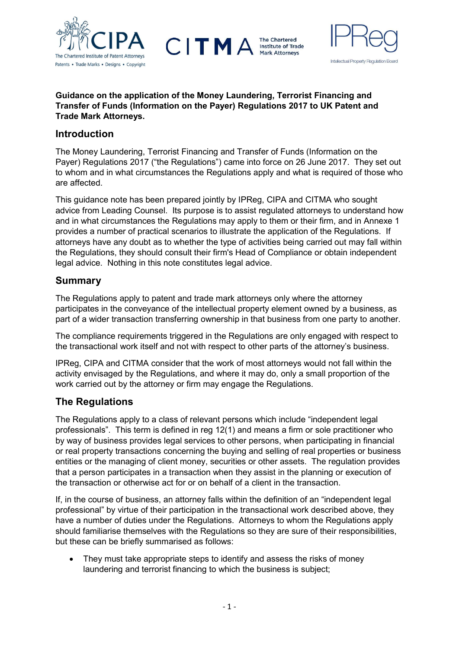

**The Chartered Institute of Trade Mark Attorneys** 



#### Guidance on the application of the Money Laundering, Terrorist Financing and Transfer of Funds (Information on the Payer) Regulations 2017 to UK Patent and Trade Mark Attorneys.

CITM

## Introduction

The Money Laundering, Terrorist Financing and Transfer of Funds (Information on the Payer) Regulations 2017 ("the Regulations") came into force on 26 June 2017. They set out to whom and in what circumstances the Regulations apply and what is required of those who are affected.

This guidance note has been prepared jointly by IPReg, CIPA and CITMA who sought advice from Leading Counsel. Its purpose is to assist regulated attorneys to understand how and in what circumstances the Regulations may apply to them or their firm, and in Annexe 1 provides a number of practical scenarios to illustrate the application of the Regulations. If attorneys have any doubt as to whether the type of activities being carried out may fall within the Regulations, they should consult their firm's Head of Compliance or obtain independent legal advice. Nothing in this note constitutes legal advice.

## Summary

The Regulations apply to patent and trade mark attorneys only where the attorney participates in the conveyance of the intellectual property element owned by a business, as part of a wider transaction transferring ownership in that business from one party to another.

The compliance requirements triggered in the Regulations are only engaged with respect to the transactional work itself and not with respect to other parts of the attorney's business.

IPReg, CIPA and CITMA consider that the work of most attorneys would not fall within the activity envisaged by the Regulations, and where it may do, only a small proportion of the work carried out by the attorney or firm may engage the Regulations.

# The Regulations

The Regulations apply to a class of relevant persons which include "independent legal professionals". This term is defined in reg 12(1) and means a firm or sole practitioner who by way of business provides legal services to other persons, when participating in financial or real property transactions concerning the buying and selling of real properties or business entities or the managing of client money, securities or other assets. The regulation provides that a person participates in a transaction when they assist in the planning or execution of the transaction or otherwise act for or on behalf of a client in the transaction.

If, in the course of business, an attorney falls within the definition of an "independent legal professional" by virtue of their participation in the transactional work described above, they have a number of duties under the Regulations. Attorneys to whom the Regulations apply should familiarise themselves with the Regulations so they are sure of their responsibilities, but these can be briefly summarised as follows:

• They must take appropriate steps to identify and assess the risks of money laundering and terrorist financing to which the business is subject;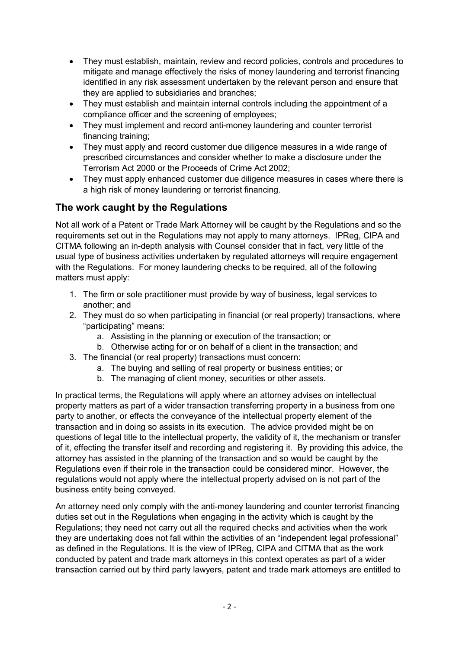- They must establish, maintain, review and record policies, controls and procedures to mitigate and manage effectively the risks of money laundering and terrorist financing identified in any risk assessment undertaken by the relevant person and ensure that they are applied to subsidiaries and branches;
- They must establish and maintain internal controls including the appointment of a compliance officer and the screening of employees;
- They must implement and record anti-money laundering and counter terrorist financing training;
- They must apply and record customer due diligence measures in a wide range of prescribed circumstances and consider whether to make a disclosure under the Terrorism Act 2000 or the Proceeds of Crime Act 2002;
- They must apply enhanced customer due diligence measures in cases where there is a high risk of money laundering or terrorist financing.

# The work caught by the Regulations

Not all work of a Patent or Trade Mark Attorney will be caught by the Regulations and so the requirements set out in the Regulations may not apply to many attorneys. IPReg, CIPA and CITMA following an in-depth analysis with Counsel consider that in fact, very little of the usual type of business activities undertaken by regulated attorneys will require engagement with the Regulations. For money laundering checks to be required, all of the following matters must apply:

- 1. The firm or sole practitioner must provide by way of business, legal services to another; and
- 2. They must do so when participating in financial (or real property) transactions, where "participating" means:
	- a. Assisting in the planning or execution of the transaction; or
	- b. Otherwise acting for or on behalf of a client in the transaction; and
- 3. The financial (or real property) transactions must concern:
	- a. The buying and selling of real property or business entities; or
	- b. The managing of client money, securities or other assets.

In practical terms, the Regulations will apply where an attorney advises on intellectual property matters as part of a wider transaction transferring property in a business from one party to another, or effects the conveyance of the intellectual property element of the transaction and in doing so assists in its execution. The advice provided might be on questions of legal title to the intellectual property, the validity of it, the mechanism or transfer of it, effecting the transfer itself and recording and registering it. By providing this advice, the attorney has assisted in the planning of the transaction and so would be caught by the Regulations even if their role in the transaction could be considered minor. However, the regulations would not apply where the intellectual property advised on is not part of the business entity being conveyed.

An attorney need only comply with the anti-money laundering and counter terrorist financing duties set out in the Regulations when engaging in the activity which is caught by the Regulations; they need not carry out all the required checks and activities when the work they are undertaking does not fall within the activities of an "independent legal professional" as defined in the Regulations. It is the view of IPReg, CIPA and CITMA that as the work conducted by patent and trade mark attorneys in this context operates as part of a wider transaction carried out by third party lawyers, patent and trade mark attorneys are entitled to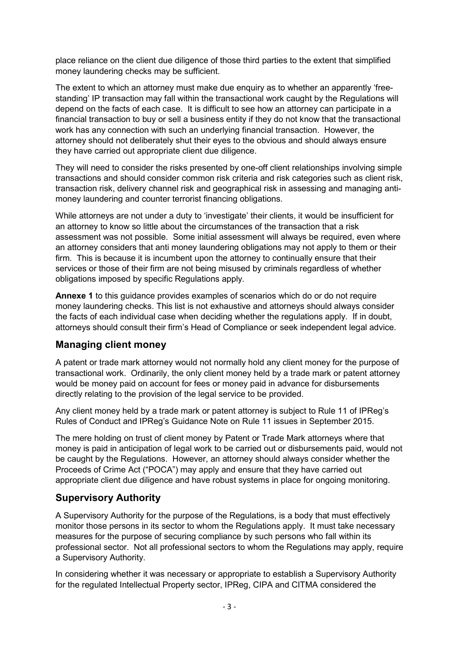place reliance on the client due diligence of those third parties to the extent that simplified money laundering checks may be sufficient.

The extent to which an attorney must make due enquiry as to whether an apparently 'freestanding' IP transaction may fall within the transactional work caught by the Regulations will depend on the facts of each case. It is difficult to see how an attorney can participate in a financial transaction to buy or sell a business entity if they do not know that the transactional work has any connection with such an underlying financial transaction. However, the attorney should not deliberately shut their eyes to the obvious and should always ensure they have carried out appropriate client due diligence.

They will need to consider the risks presented by one-off client relationships involving simple transactions and should consider common risk criteria and risk categories such as client risk, transaction risk, delivery channel risk and geographical risk in assessing and managing antimoney laundering and counter terrorist financing obligations.

While attorneys are not under a duty to 'investigate' their clients, it would be insufficient for an attorney to know so little about the circumstances of the transaction that a risk assessment was not possible. Some initial assessment will always be required, even where an attorney considers that anti money laundering obligations may not apply to them or their firm. This is because it is incumbent upon the attorney to continually ensure that their services or those of their firm are not being misused by criminals regardless of whether obligations imposed by specific Regulations apply.

Annexe 1 to this guidance provides examples of scenarios which do or do not require money laundering checks. This list is not exhaustive and attorneys should always consider the facts of each individual case when deciding whether the regulations apply. If in doubt, attorneys should consult their firm's Head of Compliance or seek independent legal advice.

# Managing client money

A patent or trade mark attorney would not normally hold any client money for the purpose of transactional work. Ordinarily, the only client money held by a trade mark or patent attorney would be money paid on account for fees or money paid in advance for disbursements directly relating to the provision of the legal service to be provided.

Any client money held by a trade mark or patent attorney is subject to Rule 11 of IPReg's Rules of Conduct and IPReg's Guidance Note on Rule 11 issues in September 2015.

The mere holding on trust of client money by Patent or Trade Mark attorneys where that money is paid in anticipation of legal work to be carried out or disbursements paid, would not be caught by the Regulations. However, an attorney should always consider whether the Proceeds of Crime Act ("POCA") may apply and ensure that they have carried out appropriate client due diligence and have robust systems in place for ongoing monitoring.

## Supervisory Authority

A Supervisory Authority for the purpose of the Regulations, is a body that must effectively monitor those persons in its sector to whom the Regulations apply. It must take necessary measures for the purpose of securing compliance by such persons who fall within its professional sector. Not all professional sectors to whom the Regulations may apply, require a Supervisory Authority.

In considering whether it was necessary or appropriate to establish a Supervisory Authority for the regulated Intellectual Property sector, IPReg, CIPA and CITMA considered the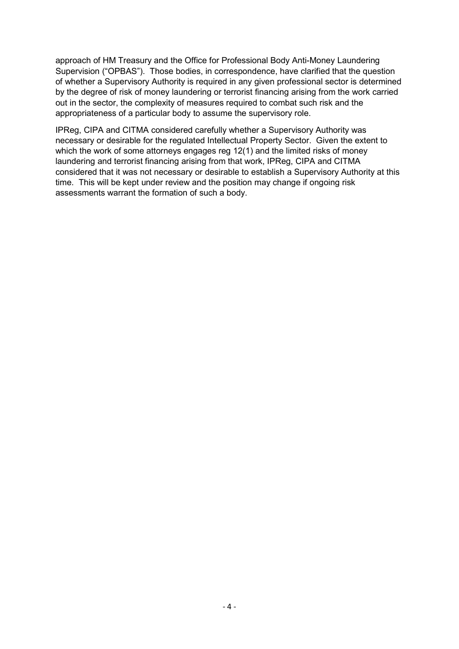approach of HM Treasury and the Office for Professional Body Anti-Money Laundering Supervision ("OPBAS"). Those bodies, in correspondence, have clarified that the question of whether a Supervisory Authority is required in any given professional sector is determined by the degree of risk of money laundering or terrorist financing arising from the work carried out in the sector, the complexity of measures required to combat such risk and the appropriateness of a particular body to assume the supervisory role.

IPReg, CIPA and CITMA considered carefully whether a Supervisory Authority was necessary or desirable for the regulated Intellectual Property Sector. Given the extent to which the work of some attorneys engages reg 12(1) and the limited risks of money laundering and terrorist financing arising from that work, IPReg, CIPA and CITMA considered that it was not necessary or desirable to establish a Supervisory Authority at this time. This will be kept under review and the position may change if ongoing risk assessments warrant the formation of such a body.